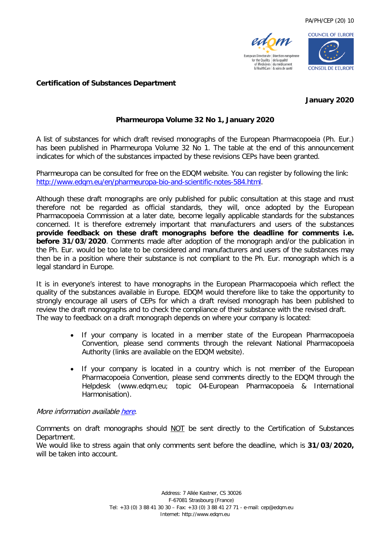



#### **Certification of Substances Department**

### **January 2020**

## **Pharmeuropa Volume 32 No 1, January 2020**

A list of substances for which draft revised monographs of the European Pharmacopoeia (Ph. Eur.) has been published in Pharmeuropa Volume 32 No 1. The table at the end of this announcement indicates for which of the substances impacted by these revisions CEPs have been granted.

Pharmeuropa can be consulted for free on the EDQM website. You can register by following the link: [http://www.edqm.eu/en/pharmeuropa-bio-and-scientific-notes-584.html.](http://www.edqm.eu/en/pharmeuropa-bio-and-scientific-notes-584.html)

Although these draft monographs are only published for public consultation at this stage and must therefore not be regarded as official standards, they will, once adopted by the European Pharmacopoeia Commission at a later date, become legally applicable standards for the substances concerned. It is therefore extremely important that manufacturers and users of the substances **provide feedback on these draft monographs before the deadline for comments i.e. before 31/03/2020**. Comments made after adoption of the monograph and/or the publication in the Ph. Eur. would be too late to be considered and manufacturers and users of the substances may then be in a position where their substance is not compliant to the Ph. Eur. monograph which is a legal standard in Europe.

It is in everyone's interest to have monographs in the European Pharmacopoeia which reflect the quality of the substances available in Europe. EDQM would therefore like to take the opportunity to strongly encourage all users of CEPs for which a draft revised monograph has been published to review the draft monographs and to check the compliance of their substance with the revised draft. The way to feedback on a draft monograph depends on where your company is located:

- If your company is located in a member state of the European Pharmacopoeia Convention, please send comments through the relevant National Pharmacopoeia Authority (links are available on the EDQM website).
- If your company is located in a country which is not member of the European Pharmacopoeia Convention, please send comments directly to the EDQM through the Helpdesk (www.edqm.eu; topic 04-European Pharmacopoeia & International Harmonisation).

#### More information availabl[e here.](https://www.edqm.eu/sites/default/files/medias/fichiers/how_to_comment.pdf)

Comments on draft monographs should NOT be sent directly to the Certification of Substances Department.

We would like to stress again that only comments sent before the deadline, which is **31/03/2020,** will be taken into account.